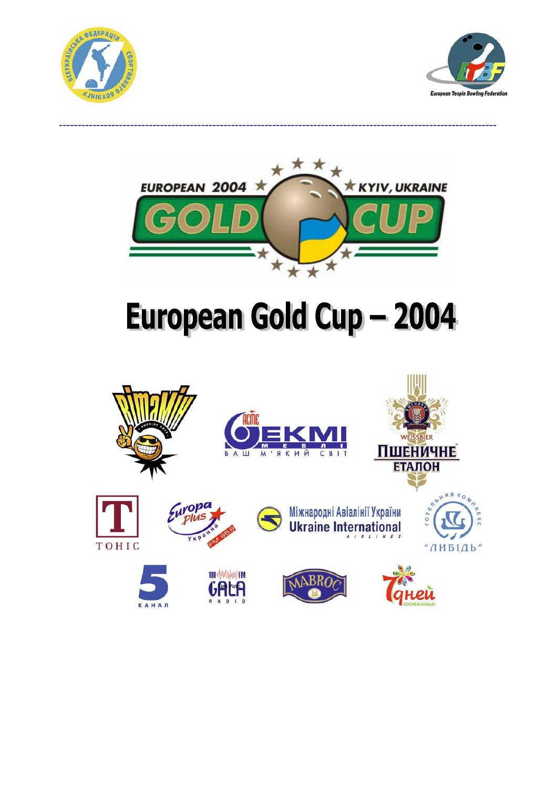





# European Gold Cup - 2004

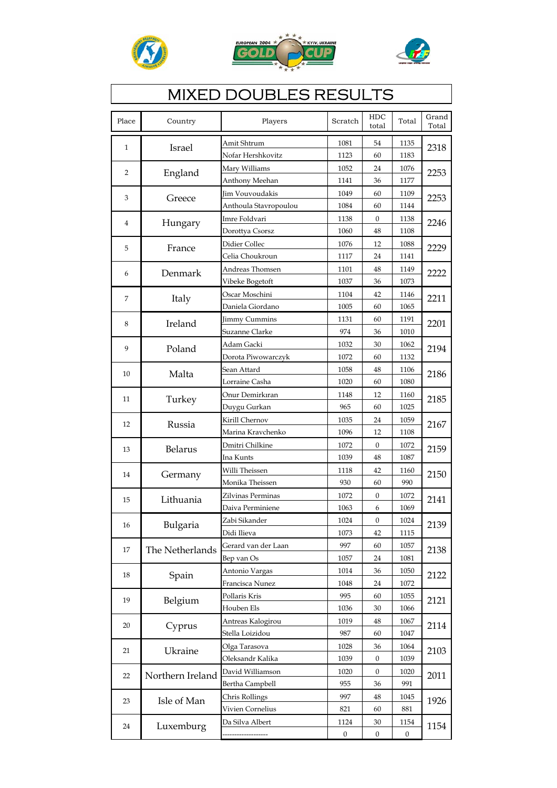





# **MIXED DOUBLES RESULTS**

| Place          | Country          | Players               | Scratch          | HDC<br>total     | Total            | Grand<br>Total |
|----------------|------------------|-----------------------|------------------|------------------|------------------|----------------|
| $\mathbf{1}$   | Israel           | Amit Shtrum           | 1081             | 54               | 1135             | 2318           |
|                |                  | Nofar Hershkovitz     | 1123             | 60               | 1183             |                |
| $\overline{2}$ |                  | Mary Williams         | 1052             | 24               | 1076             | 2253           |
|                | England          | Anthony Meehan        | 1141             | 36               | 1177             |                |
| 3              | Greece           | Jim Vouvoudakis       | 1049             | 60               | 1109             | 2253           |
|                |                  | Anthoula Stavropoulou | 1084             | 60               | 1144             |                |
| $\overline{4}$ | Hungary          | Imre Foldvari         | 1138             | $\boldsymbol{0}$ | 1138             | 2246           |
|                |                  | Dorottya Csorsz       | 1060             | 48               | 1108             |                |
| 5              | France           | Didier Collec         | 1076             | 12               | 1088             | 2229           |
|                |                  | Celia Choukroun       | 1117             | 24               | 1141             |                |
| 6              | Denmark          | Andreas Thomsen       | 1101             | 48               | 1149             | 2222           |
|                |                  | Vibeke Bogetoft       | 1037             | 36               | 1073             |                |
| 7              | Italy            | Oscar Moschini        | 1104             | 42               | 1146             | 2211           |
|                |                  | Daniela Giordano      | 1005             | 60               | 1065             |                |
| 8              | Ireland          | <b>Jimmy Cummins</b>  | 1131             | 60               | 1191             | 2201           |
|                |                  | Suzanne Clarke        | 974              | 36               | 1010             |                |
| 9              | Poland           | Adam Gacki            | 1032             | 30               | 1062             | 2194           |
|                |                  | Dorota Piwowarczyk    | 1072             | 60               | 1132             |                |
| 10             | Malta            | Sean Attard           | 1058             | 48               | 1106             | 2186           |
|                |                  | Lorraine Casha        | 1020             | 60               | 1080             |                |
| 11             | Turkey           | Onur Demirkıran       | 1148             | 12               | 1160             | 2185           |
|                |                  | Duygu Gurkan          | 965              | 60               | 1025             |                |
| 12             | Russia           | Kirill Chernov        | 1035             | 24               | 1059             | 2167           |
|                |                  | Marina Kravchenko     | 1096             | 12               | 1108             |                |
| 13             | Belarus          | Dmitri Chilkine       | 1072             | 0                | 1072             | 2159           |
|                |                  | Ina Kunts             | 1039             | 48               | 1087             |                |
| 14             | Germany          | Willi Theissen        | 1118             | 42               | 1160             | 2150           |
|                |                  | Monika Theissen       | 930              | 60               | 990              |                |
| 15             | Lithuania        | Zilvinas Perminas     | 1072             | 0                | 1072             | 2141           |
|                |                  | Daiva Perminiene      | 1063             | 6                | 1069             |                |
| 16             | Bulgaria         | Zabi Sikander         | 1024             | $\boldsymbol{0}$ | 1024             | 2139           |
|                |                  | Didi Ilieva           | 1073             | 42               | 1115             |                |
| 17             | The Netherlands  | Gerard van der Laan   | 997              | 60               | 1057             | 2138           |
|                |                  | Bep van Os            | 1057             | 24               | 1081             |                |
| 18             | Spain            | Antonio Vargas        | 1014             | 36               | 1050             | 2122           |
|                |                  | Francisca Nunez       | 1048             | 24               | 1072             |                |
| 19             | Belgium          | Pollaris Kris         | 995              | 60               | 1055             | 2121           |
|                |                  | Houben Els            | 1036             | 30               | 1066             |                |
| 20             | Cyprus           | Antreas Kalogirou     | 1019             | 48               | 1067             | 2114           |
|                |                  | Stella Loizidou       | 987              | 60               | 1047             |                |
| 21             | Ukraine          | Olga Tarasova         | 1028             | 36               | 1064             | 2103           |
|                |                  | Oleksandr Kalika      | 1039             | $\boldsymbol{0}$ | 1039             |                |
| 22             | Northern Ireland | David Williamson      | 1020             | 0                | 1020             | 2011           |
|                |                  | Bertha Campbell       | 955              | 36               | 991              |                |
| 23             | Isle of Man      | Chris Rollings        | 997              | 48               | 1045             | 1926           |
|                |                  | Vivien Cornelius      | 821              | 60               | 881              |                |
| 24             | Luxemburg        | Da Silva Albert       | 1124             | 30               | 1154             | 1154           |
|                |                  |                       | $\boldsymbol{0}$ | $\boldsymbol{0}$ | $\boldsymbol{0}$ |                |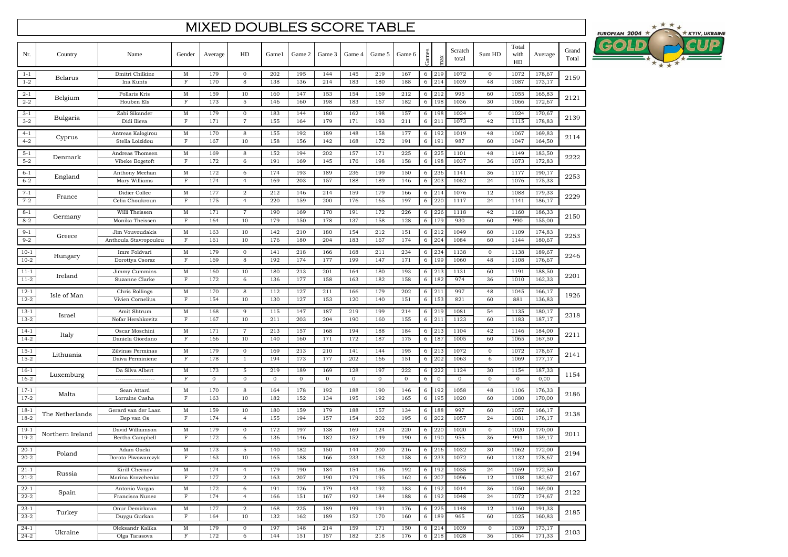#### MIXED DOUBLES SCORE TABLE

| Nr.                  | Country          | Name                                     | Gender                     | Average            | HD                             | Game1               | Game 2             | Game 3              | Game 4             | Game 5              | Game 6             | Games  |                        | Scratch<br>total | Sum HD                 | Total<br>with<br>HD | Average          | Grand<br>Total |
|----------------------|------------------|------------------------------------------|----------------------------|--------------------|--------------------------------|---------------------|--------------------|---------------------|--------------------|---------------------|--------------------|--------|------------------------|------------------|------------------------|---------------------|------------------|----------------|
| $1 - 1$<br>$1 - 2$   | Belarus          | Dmitri Chilkine<br>Ina Kunts             | M<br>$\mathbf F$           | 179<br>170         | $\mathbf 0$<br>8               | 202<br>138          | 195<br>136         | 144<br>214          | 145<br>183         | 219<br>180          | 167<br>188         | 6<br>6 | 219<br>214             | 1072<br>1039     | $\mathbf{0}$<br>48     | 1072<br>1087        | 178,67<br>173,17 | 2159           |
| $2 - 1$<br>$2 - 2$   | Belgium          | Pollaris Kris<br>Houben Els              | M<br>$\mathbf F$           | 159<br>173         | 10<br>5                        | 160<br>146          | 147<br>160         | 153<br>198          | 154<br>183         | 169<br>167          | 212<br>182         | 6<br>6 | 212<br>198             | 995<br>1036      | 60<br>30               | 1055<br>1066        | 165,83<br>172,67 | 2121           |
| $3 - 1$<br>$3 - 2$   | Bulgaria         | Zabi Sikander<br>Didi Ilieva             | M<br>$\mathbf F$           | 179<br>171         | $\mathbf{0}$<br>$\overline{7}$ | 183<br>155          | 144<br>164         | 180<br>179          | 162<br>171         | 198<br>193          | 157<br>211         | 6<br>6 | 198<br>211             | 1024<br>1073     | $\mathbf 0$<br>42      | 1024<br>1115        | 170,67<br>178,83 | 2139           |
| $4 - 1$<br>$4 - 2$   | Cyprus           | Antreas Kalogirou<br>Stella Loizidou     | M<br>$\mathbf F$           | 170<br>167         | 8<br>10                        | 155<br>158          | 192<br>156         | 189<br>142          | 148<br>168         | 158<br>172          | 177<br>191         | 6<br>6 | 192<br>19              | 1019<br>987      | 48<br>60               | 1067<br>1047        | 169,83<br>164,50 | 2114           |
| $5 - 1$<br>$5 - 2$   | Denmark          | Andreas Thomsen<br>Vibeke Bogetoft       | M<br>$\mathbf F$           | 169<br>172         | 8<br>6                         | 152<br>191          | 194<br>169         | 202<br>145          | 157<br>176         | 171<br>198          | 225<br>158         | 6<br>6 | 225<br>198             | 1101<br>1037     | 48<br>36               | 1149<br>1073        | 183,50<br>172,83 | 2222           |
| $6 - 1$<br>$6 - 2$   | England          | Anthony Meehan<br>Mary Williams          | M<br>$_{\rm F}$            | 172<br>174         | 6<br>$\overline{4}$            | 174<br>169          | 193<br>203         | 189<br>157          | 236<br>188         | 199<br>189          | 150<br>146         | 6<br>6 | 236<br>203             | 1141<br>1052     | 36<br>24               | 1177<br>1076        | 190,17<br>175,33 | 2253           |
| $7 - 1$<br>$7 - 2$   | France           | Didier Collec<br>Celia Choukroun         | M<br>$_{\rm F}$            | 177<br>175         | 2<br>$\overline{4}$            | 212<br>220          | 146<br>159         | 214<br>200          | 159<br>176         | 179<br>165          | 166<br>197         | 6<br>6 | 214<br>220             | 1076<br>1117     | 12<br>24               | 1088<br>1141        | 179,33<br>186,17 | 2229           |
| $8 - 1$<br>$8 - 2$   | Germany          | Willi Theissen<br>Monika Theissen        | M<br>$\mathbf F$           | 171<br>164         | $\overline{7}$<br>10           | 190<br>179          | 169<br>150         | 170<br>178          | 191<br>137         | 172<br>158          | 226<br>128         | 6<br>6 | 226<br>179             | 1118<br>930      | 42<br>60               | 1160<br>990         | 186,33<br>155,00 | 2150           |
| $9 - 1$<br>$9 - 2$   | Greece           | Jim Vouvoudakis<br>Anthoula Stavropoulou | M<br>$\mathbf F$           | 163<br>161         | 10<br>10                       | 142<br>176          | 210<br>180         | 180<br>204          | 154<br>183         | 212<br>167          | 151<br>174         | 6<br>6 | 212<br>20 <sup>2</sup> | 1049<br>1084     | 60<br>60               | 1109<br>1144        | 174,83<br>180,67 | 2253           |
| $10-1$<br>$10-2$     | Hungary          | Imre Foldvari<br>Dorottya Csorsz         | M<br>F                     | 179<br>169         | $\mathbf 0$<br>8               | 141<br>192          | 218<br>174         | 166<br>177          | 168<br>199         | 211<br>147          | 234<br>171         | 6<br>6 | 234<br>199             | 1138<br>1060     | $\mathbf 0$<br>48      | 1138<br>1108        | 189,67<br>176,67 | 2246           |
| $11 - 1$<br>$11-2$   | Ireland          | Jimmy Cummins<br>Suzanne Clarke          | M<br>F                     | 160<br>172         | 10<br>6                        | 180<br>136          | 213<br>177         | 201<br>158          | 164<br>163         | 180<br>182          | 193<br>158         | 6<br>6 | 213<br>182             | 1131<br>974      | 60<br>36               | 1191<br>1010        | 188,50<br>162,33 | 2201           |
| $12 - 1$<br>$12 - 2$ | Isle of Man      | Chris Rollings<br>Vivien Cornelius       | $\mathbf M$<br>$\mathbf F$ | 170<br>154         | 8<br>10                        | 112<br>130          | 127<br>127         | 211<br>153          | 166<br>120         | 179<br>140          | 202<br>151         | 6<br>6 | 211<br>153             | 997<br>821       | 48<br>60               | 1045<br>881         | 166,17<br>136,83 | 1926           |
| $13-1$<br>$13-2$     | Israel           | Amit Shtrum<br>Nofar Hershkovitz         | $\mathbf M$<br>$\mathbf F$ | 168<br>167         | 9<br>10                        | 115<br>211          | 147<br>203         | 187<br>204          | 219<br>190         | 199<br>160          | 214<br>155         | 6<br>6 | 219<br>21              | 1081<br>1123     | 54<br>60               | 1135<br>1183        | 180,17<br>187,17 | 2318           |
| $14-1$<br>$14 - 2$   | Italy            | Oscar Moschini<br>Daniela Giordano       | M<br>$\mathbf F$           | 171<br>166         | 7<br>10                        | 213<br>140          | 157<br>160         | 168<br>171          | 194<br>172         | 188<br>187          | 184<br>175         | 6<br>6 | 213<br>187             | 1104<br>1005     | 42<br>60               | 1146<br>1065        | 184,00<br>167,50 | 2211           |
| $15 - 1$<br>$15-2$   | Lithuania        | Zilvinas Perminas<br>Daiva Perminiene    | $\mathbf M$<br>$_{\rm F}$  | 179<br>178         | $\mathbf 0$<br>1               | 169<br>194          | 213<br>173         | 210<br>177          | 141<br>202         | 144<br>166          | 195<br>151         | 6<br>6 | 213<br>202             | 1072<br>1063     | $\boldsymbol{0}$<br>6  | 1072<br>1069        | 178,67<br>177,17 | 2141           |
| $16-1$<br>$16-2$     | Luxemburg        | Da Silva Albert<br>-------------------   | $\mathbf M$<br>$_{\rm F}$  | 173<br>$\mathbf 0$ | 5<br>$\mathbf{0}$              | 219<br>$\mathbf{0}$ | 189<br>$\mathbf 0$ | 169<br>$\mathbf{O}$ | 128<br>$\mathbf 0$ | 197<br>$\mathbf{0}$ | 222<br>$\mathbf 0$ | 6<br>6 | 222<br>$\mathbf 0$     | 1124<br>0        | 30<br>$\mathbf 0$      | 1154<br>0           | 187,33<br>0,00   | 1154           |
| $17 - 1$<br>$17-2$   | Malta            | Sean Attard<br>Lorraine Casha            | $\mathbf M$<br>$\mathbf F$ | 170<br>163         | 8<br>10                        | 164<br>182          | 178<br>152         | 192<br>134          | 188<br>195         | 190<br>192          | 146<br>165         | 6<br>6 | 192<br>195             | 1058<br>1020     | 48<br>60               | 1106<br>1080        | 176,33<br>170,00 | 2186           |
| $18-1$<br>$18-2$     | The Netherlands  | Gerard van der Laan<br>Bep van Os        | M<br>$_{\rm F}$            | 159<br>174         | 10<br>$\overline{4}$           | 180<br>155          | 159<br>194         | 179<br>157          | 188<br>154         | 157<br>202          | 134<br>195         | 6<br>6 | 188<br>202             | 997<br>1057      | 60<br>24               | 1057<br>1081        | 166,17<br>176,17 | 2138           |
| $19-1$<br>$19-2$     | Northern Ireland | David Williamson<br>Bertha Campbell      | $\mathbf M$<br>F           | 179<br>172         | 0<br>6                         | 172<br>136          | 197<br>146         | 138<br>182          | 169<br>152         | 124<br>149          | 220<br>190         | 6<br>6 | 220<br>190             | 1020<br>955      | $\boldsymbol{0}$<br>36 | 1020<br>991         | 170,00<br>159,17 | 2011           |
| $20 - 1$<br>$20 - 2$ | Poland           | Adam Gacki<br>Dorota Piwowarczyk         | M<br>$\mathbf F$           | 173<br>163         | 5<br>10                        | 140<br>165          | 182<br>188         | 150<br>166          | 144<br>233         | 200<br>162          | 216<br>158         | 6<br>6 | 216<br>233             | 1032<br>1072     | 30<br>60               | 1062<br>1132        | 172,00<br>178,67 | 2194           |
| $21-1$<br>$21 - 2$   | Russia           | Kirill Chernov<br>Marina Kravchenko      | M<br>$_{\rm F}$            | 174<br>177         | 4<br>$\boldsymbol{2}$          | 179<br>163          | 190<br>207         | 184<br>190          | 154<br>179         | 136<br>195          | 192<br>162         | 6<br>6 | 192<br>207             | 1035<br>1096     | 24<br>12               | 1059<br>1108        | 172,50<br>182,67 | 2167           |
| $22 - 1$<br>$22 - 2$ | Spain            | Antonio Vargas<br>Francisca Nunez        | M<br>$\mathbf F$           | 172<br>174         | 6<br>$\overline{4}$            | 191<br>166          | 126<br>151         | 179<br>167          | 143<br>192         | 192<br>184          | 183<br>188         | 6<br>6 | 192<br>192             | 1014<br>1048     | 36<br>24               | 1050<br>1072        | 169,00<br>174,67 | 2122           |
| $23-1$<br>$23-2$     | Turkey           | Onur Demirkıran<br>Duygu Gurkan          | M<br>$_{\rm F}$            | 177<br>164         | 2<br>10                        | 168<br>132          | 225<br>162         | 189<br>189          | 199<br>152         | 191<br>170          | 176<br>160         | 6<br>6 | 225<br>189             | 1148<br>965      | 12<br>60               | 1160<br>1025        | 191,33<br>160,83 | 2185           |
| $24-1$<br>$24 - 2$   | Ukraine          | Oleksandr Kalika<br>Olga Tarasova        | $\mathbf M$<br>$\mathbf F$ | 179<br>172         | $\mathbf 0$<br>6               | 197<br>144          | 148<br>151         | 214<br>157          | 159<br>182         | 171<br>218          | 150<br>176         | 6      | 214<br>6 218           | 1039<br>1028     | $\boldsymbol{0}$<br>36 | 1039<br>1064        | 173,17<br>171,33 | 2103           |

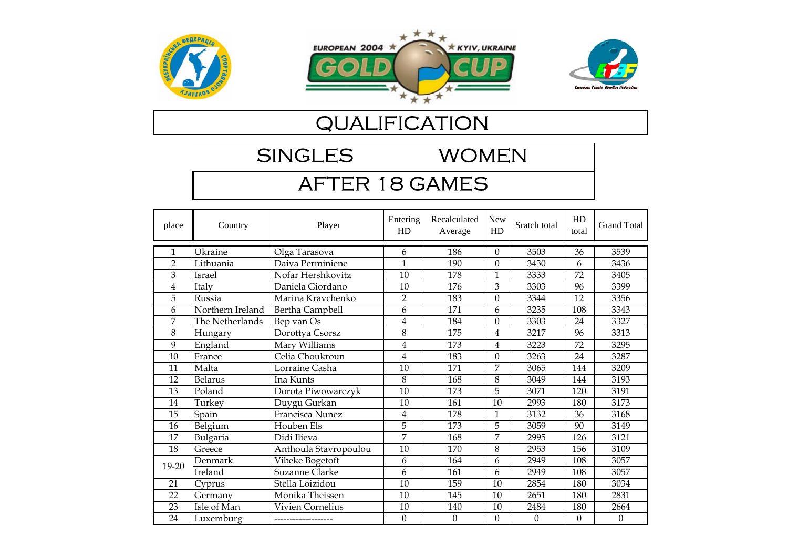





SINGLES WOMEN

# AFTER 18 GAMES

| place          | Country          | Player                | Entering<br>HD   | Recalculated<br>Average | <b>New</b><br>HD | Sratch total     | HD<br>total      | <b>Grand Total</b> |
|----------------|------------------|-----------------------|------------------|-------------------------|------------------|------------------|------------------|--------------------|
| 1              | Ukraine          | Olga Tarasova         | 6                | 186                     | $\Omega$         | 3503             | 36               | 3539               |
| $\overline{2}$ | Lithuania        | Daiva Perminiene      | $\mathbf{1}$     | 190                     | $\Omega$         | 3430             | 6                | 3436               |
| 3              | Israel           | Nofar Hershkovitz     | 10               | 178                     | 1                | 3333             | 72               | 3405               |
| 4              | Italy            | Daniela Giordano      | 10               | 176                     | 3                | 3303             | 96               | 3399               |
| 5              | Russia           | Marina Kravchenko     | $\overline{2}$   | 183                     | 0                | 3344             | 12               | 3356               |
| 6              | Northern Ireland | Bertha Campbell       | 6                | 171                     | 6                | 3235             | 108              | 3343               |
| 7              | The Netherlands  | Bep van Os            | 4                | 184                     | $\Omega$         | 3303             | 24               | 3327               |
| 8              | Hungary          | Dorottya Csorsz       | 8                | 175                     | 4                | 3217             | 96               | 3313               |
| 9              | England          | Mary Williams         | $\overline{4}$   | 173                     | 4                | 3223             | 72               | 3295               |
| 10             | France           | Celia Choukroun       | 4                | 183                     | $\theta$         | 3263             | 24               | 3287               |
| 11             | Malta            | Lorraine Casha        | 10               | 171                     | 7                | 3065             | 144              | 3209               |
| 12             | <b>Belarus</b>   | Ina Kunts             | 8                | 168                     | 8                | 3049             | 144              | 3193               |
| 13             | Poland           | Dorota Piwowarczyk    | 10               | 173                     | 5                | 3071             | 120              | 3191               |
| 14             | Turkey           | Duygu Gurkan          | 10               | 161                     | 10               | 2993             | 180              | 3173               |
| 15             | Spain            | Francisca Nunez       | 4                | 178                     | 1                | 3132             | 36               | 3168               |
| 16             | Belgium          | Houben Els            | 5                | 173                     | 5                | 3059             | 90               | 3149               |
| 17             | Bulgaria         | Didi Ilieva           | 7                | 168                     | 7                | 2995             | 126              | 3121               |
| 18             | Greece           | Anthoula Stavropoulou | 10               | 170                     | 8                | 2953             | 156              | 3109               |
| 19-20          | Denmark          | Vibeke Bogetoft       | 6                | 164                     | 6                | 2949             | 108              | 3057               |
|                | Ireland          | Suzanne Clarke        | 6                | 161                     | 6                | 2949             | 108              | 3057               |
| 21             | Cyprus           | Stella Loizidou       | 10               | 159                     | 10               | 2854             | 180              | 3034               |
| 22             | Germany          | Monika Theissen       | 10               | 145                     | 10               | 2651             | 180              | 2831               |
| 23             | Isle of Man      | Vivien Cornelius      | 10               | 140                     | 10               | 2484             | 180              | 2664               |
| 24             | Luxemburg        |                       | $\boldsymbol{0}$ | $\boldsymbol{0}$        | $\theta$         | $\boldsymbol{0}$ | $\boldsymbol{0}$ | $\boldsymbol{0}$   |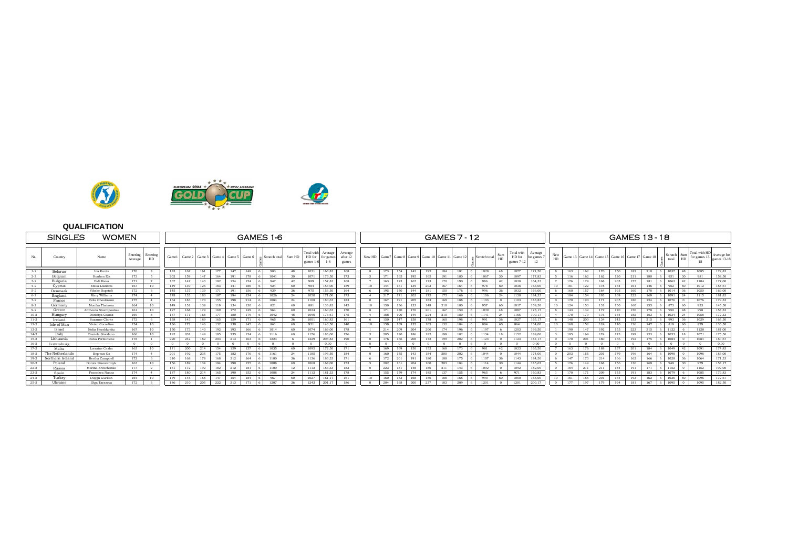

 $\overline{\mathcal{R}}$ 

|          | <b>SINGLES</b>   | <b>WOMEN</b>          |                     |                  |            |        | GAMES 1-6  |        |                                   |          |  |               |        |                              |                     |                             |          |     |     |     | <b>GAMES 7 - 12</b>                        |            |          |                 |                 |                                   |                     |            |     |                         |     | <b>GAMES 13-18</b> |                        |     |                    |            |                                      |                            |
|----------|------------------|-----------------------|---------------------|------------------|------------|--------|------------|--------|-----------------------------------|----------|--|---------------|--------|------------------------------|---------------------|-----------------------------|----------|-----|-----|-----|--------------------------------------------|------------|----------|-----------------|-----------------|-----------------------------------|---------------------|------------|-----|-------------------------|-----|--------------------|------------------------|-----|--------------------|------------|--------------------------------------|----------------------------|
|          | Country          | Name                  | Entering<br>Average | Entering<br>HD   | Gamel      | Game 2 |            |        | Game 3   Game 4   Game 5   Game 6 |          |  | Scratch total | Sum HD | Total with<br>HD for<br>ames | Average<br>for game | Average<br>after 1<br>games |          |     |     |     | New HD Game 7 Game 8 Game 9 Game 10 Game 1 |            | Game 12  | « Scratch total | Sum<br>HI       | Total with<br>HD for<br>games 7-1 | Average<br>or games | HD         |     | Game 13 Game 14 Game 1: |     |                    | Game 16 Game 17 Game 1 |     | Scratch  <br>total | Sum<br>HD  | Total with HE<br>for games 13-<br>18 | Average for<br>games 13-18 |
| $1 - 2$  | Belarus          | Ina Kunts             | 170                 |                  | 183        | 167    | 161        | 177    | 147                               | 148      |  | 983           | 48     | 1031                         | 163.83              | 168                         |          | 173 | 154 | 142 | 195                                        | 184        | 181      | 1029            | 48              | 1077                              | 171.50              |            | 163 | 162                     | 170 | 150                | 182                    | 210 | 1037               | 48         | 1085                                 | 172.83                     |
| $2 - 2$  | Belgium          | Houben Els            | 173                 |                  | 202        | 159    | 147        | 164    | 191                               | 178      |  | 1041          | 30     | 1071                         | 173.50              | 173                         |          | 171 | 165 | 195 | 165                                        | 191        | 180      | 1067            | 30 <sup>2</sup> | 1097                              |                     |            | 116 | 162                     | 162 | 120                | 211                    | 180 | 951<br><b>LG</b>   | -30        | 981                                  | 158.50                     |
| $3 - 2$  | Bulgaria         | Didi Ilieva           | 171                 |                  | 167        | 147    | 143        | 182    | 154                               | 154      |  | 947           | 42     | 989                          | 157.83              | 168                         |          | 163 |     | 167 | 173                                        | 170        | 190      | 986             | 42              | 1028                              | 164.33              |            | 176 | 179                     | 168 | 203                | 155                    | 181 |                    | $1062$ 42  | 1104                                 | 177,00                     |
| $4 - 2$  | Cyprus           | Stella Loizidot       | 167                 | 10 <sup>10</sup> | 149        | 139    | 126        | 183    |                                   | 186      |  | 924           | 60     | 984                          | 154.00              | 159                         | 10       | 144 |     | 139 | 203                                        | 167        | 164      | 978             | 60              | 1038                              | 63.00               | 10         | 181 | 122                     |     | 164                | 161                    | 146 | 952                | 60         | 1012                                 | 158.67                     |
| $5-2$    | Denmark          | Vibeke Bogetof        | 172                 | -6               | 145        | 137    | 139        | 171    |                                   | 156      |  | 939           | 36     | 975                          | 156.50              | 164                         |          | 195 |     |     | 181                                        | 150        | 176      | 996             |                 | 1032                              | 166.00              |            | 160 | 157                     | 164 |                    | 160                    | 178 | 1014               | 36         | 1050                                 | 169.00                     |
| $6 - 2$  | England          | Mary Williams         | 174                 |                  | 178        | 133    | 180        | 187    | 194                               | 154      |  | 1026          | 24     | 1050                         | 171.00              | 173                         |          | 217 | 171 | 202 | 175                                        | 175        | 166      | 1106            | 24              | 1130                              | 84 33               |            | 184 | 154                     | 193 | 169                | 222                    | 169 | 1091               | 24         | 1115                                 | 181.83                     |
| $7 - 2$  | France           | Celia Choukroun       | 175                 |                  | 164        | 183    | 170        | 155    | QS                                | 214      |  | 1084          | 24     | 1108                         | 180.67              | 183                         |          | 167 |     | 205 | 183                                        | 169        | 188      |                 |                 | 1103                              | 83.83               |            | 170 | 190                     |     | 20 <sup>5</sup>    | 186                    | 154 | 1076               |            | 1076                                 | 179,33                     |
| $8 - 2$  | Germany          | Monika Theissen       | 164                 | 10               | 149        | 151    | 138        | 119    | 134                               | 130      |  | 821           | 60     | 881                          | 136.83              | 145                         | $10^{-}$ | 150 | 136 | 133 | 148                                        | 210        | 180      | 957             | 60.             | 1017                              | 159.50              |            | 124 | 153                     |     | 150                | 160                    | 155 | 873                | -60        | 933                                  | 145.50                     |
| $9 - 2$  | Greece           | Anthoula Stavropoulou | 161                 | 10 <sup>10</sup> | 127        | 168    | 179        | 169    | 172                               | 149      |  | 964           | 60     | 1024                         | 160.67              | 170                         |          | 171 | 180 | 170 | 201                                        | 167        | 150      | 1039            | 48              | 1087                              |                     |            | 143 | 132                     | 177 | 170                | 150                    | 178 | 950                | 48         | 998                                  | 158.33                     |
| $10-2$   | Hungary          | Dorottva Csorsz       | 169                 |                  | 167        | 171    | 168        | 177    | 180                               | 179      |  | 1042          | 48     | 1090                         | 173.67              | 175                         |          | 188 | 190 | 149 | 224                                        | 210        | 180      | 1141            | 24              | 1165                              | 190.17              |            | 170 | 179                     | 176 | 164                | 182                    | 163 | 1034               | 24         | 1058                                 | 172.33                     |
| $11-2$   | Ireland          | Suzanne Clarke        | 172                 | -6               | 138        | 143    | 189        | 165    | 159                               |          |  | 965           | 36     | 1001                         | 160.83              | 161                         |          | 150 | 147 | 158 | 178                                        | 160        | 198      | 991             | 36.             | 1027                              | 165.1               |            | 148 | 200                     | 134 | 143                | 153                    | 215 | 993                | - 36       | 1029                                 | 165,50                     |
| $12 - 2$ | Isle of Man      | Vivien Cornelius      | 154                 | 10 <sup>10</sup> | 136        | 172    | 146        | 132    | 130                               | 145      |  | 861           | 60     | 921                          | 143.50              | 140                         | 10       | 159 | 169 | 135 | 105                                        | 132        | 104      | 804             | 60              | 864                               | 134.00              | 10         | 160 | 152                     | 124 |                    | 126                    | 147 | 819                | 60         | 879                                  | 136.50                     |
| $13 - 2$ | Israel           | Nofar Hershkovitz     | 167                 | 10 <sup>10</sup> | 150        | 173    | 140        | 192    | 103                               | 166      |  | 1014          | 60     | 1074                         | 169.00              | 178                         |          | 214 | 209 | 204 | 200                                        | 174        | 10i      |                 |                 | 1203                              | 199.50              |            | 190 | 147                     | 192 |                    | 223                    | 215 | 1122               |            | 1128                                 | 187.00                     |
| $14 - 2$ | Italy            | Daniela Giordano      | 166                 | 10 <sup>10</sup> | 192        | 201    | 149        | 185    | 235                               | 154      |  |               | 60     | 1176                         | 186.00              | 176                         |          | 205 | 180 | 186 | 182                                        | 199        | 182      |                 |                 | 1152                              | 189.00              |            | 185 | 169                     | 174 | 173                | 199                    | 153 | 1053               | 18         | 1071                                 | 175.50                     |
| $15 - 2$ | Lithuania        | Daiva Perminiene      | 178                 |                  | 220        | 242    | 182        | 203    | 213                               | 163      |  | 1223          |        | 1229                         | 203.83              | 190                         | $\Omega$ | 176 | 166 | 208 | 172                                        | 199        | 202      | 1123            | $^{\circ}$      | 1123                              | 187.1               |            | 170 | 201                     | 180 | 166                | 192                    | 175 | 1084               | $\Omega$   | 1084                                 | 180.67                     |
| $16 - 2$ | Luxemburg        | -----------------     | $\mathbf{0}$        | $\Omega$         | $^{\circ}$ |        | $\sqrt{2}$ | $\sim$ |                                   | $\Omega$ |  |               |        | $\Omega$                     | 0.00                |                             | $\Omega$ |     |     |     |                                            | $\sqrt{2}$ | $\Omega$ |                 | $\Omega$        |                                   | 0.00                |            |     |                         |     |                    |                        |     |                    | $\Omega$   |                                      | 0.00                       |
| $17 - 2$ | Malta            | Lorraine Casha        | 163                 | 10 <sup>10</sup> | 171        | 200    | 214        | 154    | 159                               | 137      |  | 1035          | 60     | 1095                         | 172.50              | 171                         |          | 169 | 169 | 150 | 152                                        | 168        | 173      | 981             | 42.             | 1023                              | 163.50              |            | 163 | 176                     | 188 | 137                | 201                    | 184 | 1049               | -42        | 1091                                 | 174.83                     |
| $18 - 2$ | The Netherlands  | Bep van Os            | 174                 |                  | 201        | 192    | 235        | 175    | 182                               | 176      |  | 1161          | 24     | 185                          | 193.50              | 184                         |          | 160 |     | 143 | 184                                        | 200        | 202      | 1044            |                 | 1044                              | 74.00               |            | 203 | 155                     | 201 |                    | 196                    | 164 | 1098               |            | 1098                                 | 183.00                     |
| $19-2$   | Northern Ireland | Bertha Campbell       | 172                 |                  | 210        | 168    | 178        | 168    | 212                               | 164      |  | 1100          | 36     | 1136                         | 183.33              | 171                         |          | 172 | 201 |     | 180                                        | 188        | 175      | 1107            | 36              | 1143                              | 84.50               |            | 147 | 173                     | 214 | 166                | 162                    | 166 | 1028               | 36         | 1064                                 | 171.33                     |
| $20 - 2$ | Poland           | Dorota Piwowarczyk    | 163                 | 10               | 156        | 189    | 134        | 184    | 190                               | 155      |  | 1008          | 60     | 1068                         | 168.00              | 173                         |          | 202 | 161 | 204 | 160                                        | 203        | 184      | 1114            | 30              | 1144                              | 185.67              |            | 176 | 144                     | 168 | 156                | 136                    | 169 | 949                | 30         | 979                                  | 158,17                     |
| $22 - 2$ | Russia           | Marina Kraychenko     | 177                 | $\overline{2}$   | 161        | 172    | 192        | 182    | 212                               | 181      |  | 1100          | 12     | 1112                         | 183.33              | 183                         | $\Omega$ | 223 | 181 | 148 | 186                                        | 211        | 143      | 1092            | $\Omega$        | 1092                              | 182.00              |            | 184 | 211                     | 211 | 184                | 191                    | 171 | 1152               | $^{\circ}$ | 1152                                 | 192,00                     |
| $23 - 2$ | Spain            | Francisca Nunez       | 174                 |                  | 187        | 180    | 214        | 165    | 190                               | 152      |  | 1088          | 24     | 1112                         | 181.33              | 178                         |          | 155 | 159 | 174 | 185                                        | 137        | 155      | 965             |                 | 971                               | 160.83              |            | 170 | 171                     | 209 | 155                | 191                    | 183 | 1079               |            | 1085                                 | 179.83                     |
| $24 - 2$ | Turkey           | Duygu Gurkan          | 164                 | 10 <sup>10</sup> | 179        | 145    | 158        | 147    | 154                               | 184      |  | 967           | 60     | 1027                         | 161.17              | 161                         | 10       | 160 | 153 | 168 | 156                                        | 188        | 165      | 990             | 60              | 1050                              |                     | 10         | 161 | 155                     | 201 | 164                | 193                    | 162 | 1036               | -60        | 1096                                 | 172.67                     |
| $25 - 2$ | Ukraine          | Olga Tarasova         | 172                 |                  | 186        | 210    | 205        | -222   | 213                               | 171      |  | 1207          | 36     | 1243                         | 201.17              | 186                         |          | 204 | 168 | 200 | 237                                        | 183        | 209      | 1201            | $^{\circ}$      | 1201                              | 200.1               | $^{\circ}$ | 177 | 197                     | 179 | 194                | 181                    | 167 | 1095<br><b>16</b>  | $^{\circ}$ | 1095                                 | 182.50                     |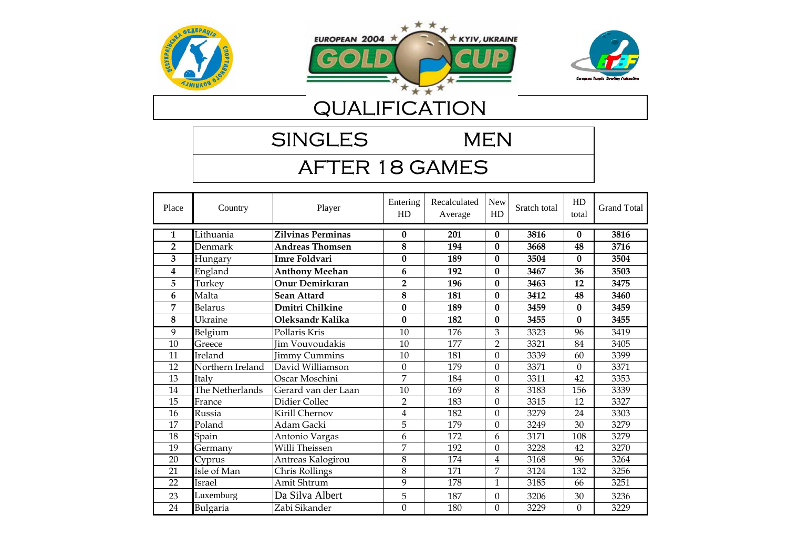





SINGLES MEN

# AFTER 18 GAMES

| Place          | Country          | Player                 | Entering<br>HD          | Recalculated<br>Average | New<br>HD        | Sratch total | HD<br>total      | <b>Grand Total</b> |
|----------------|------------------|------------------------|-------------------------|-------------------------|------------------|--------------|------------------|--------------------|
| 1              | Lithuania        | Zilvinas Perminas      | $\bf{0}$                | 201                     | $\bf{0}$         | 3816         | $\bf{0}$         | 3816               |
| $\overline{2}$ | Denmark          | Andreas Thomsen        | 8                       | 194                     | 0                | 3668         | 48               | 3716               |
| 3              | Hungary          | Imre Foldvari          | $\bf{0}$                | 189                     | $\bf{0}$         | 3504         | $\bf{0}$         | 3504               |
| 4              | England          | <b>Anthony Meehan</b>  | 6                       | 192                     | 0                | 3467         | 36               | 3503               |
| 5              | Turkey           | Onur Demirkıran        | $\overline{2}$          | 196                     | $\bf{0}$         | 3463         | 12               | 3475               |
| 6              | Malta            | Sean Attard            | 8                       | 181                     | $\bf{0}$         | 3412         | 48               | 3460               |
| 7              | <b>Belarus</b>   | Dmitri Chilkine        | $\bf{0}$                | 189                     | 0                | 3459         | $\mathbf{0}$     | 3459               |
| 8              | Ukraine          | Oleksandr Kalika       | $\mathbf{0}$            | 182                     | 0                | 3455         | $\mathbf{0}$     | 3455               |
| 9              | Belgium          | Pollaris Kris          | 10                      | 176                     | 3                | 3323         | 96               | 3419               |
| 10             | Greece           | <b>Jim Vouvoudakis</b> | 10                      | 177                     | $\overline{2}$   | 3321         | 84               | 3405               |
| 11             | Ireland          | <b>Jimmy Cummins</b>   | 10                      | 181                     | $\theta$         | 3339         | 60               | 3399               |
| 12             | Northern Ireland | David Williamson       | $\boldsymbol{0}$        | 179                     | $\Omega$         | 3371         | $\mathbf{0}$     | 3371               |
| 13             | Italy            | Oscar Moschini         | 7                       | 184                     | $\Omega$         | 3311         | 42               | 3353               |
| 14             | The Netherlands  | Gerard van der Laan    | 10                      | 169                     | 8                | 3183         | 156              | 3339               |
| 15             | France           | Didier Collec          | $\overline{2}$          | 183                     | $\Omega$         | 3315         | 12               | 3327               |
| 16             | Russia           | Kirill Chernov         | $\overline{\mathbf{4}}$ | 182                     | $\boldsymbol{0}$ | 3279         | 24               | 3303               |
| 17             | Poland           | Adam Gacki             | 5                       | 179                     | $\Omega$         | 3249         | 30               | 3279               |
| 18             | Spain            | Antonio Vargas         | 6                       | 172                     | 6                | 3171         | 108              | 3279               |
| 19             | Germany          | Willi Theissen         | 7                       | 192                     | $\Omega$         | 3228         | 42               | 3270               |
| 20             | Cyprus           | Antreas Kalogirou      | 8                       | 174                     | 4                | 3168         | 96               | 3264               |
| 21             | Isle of Man      | Chris Rollings         | 8                       | 171                     | 7                | 3124         | 132              | 3256               |
| 22             | Israel           | Amit Shtrum            | 9                       | 178                     | 1                | 3185         | 66               | 3251               |
| 23             | Luxemburg        | Da Silva Albert        | 5                       | 187                     | $\mathbf{0}$     | 3206         | 30               | 3236               |
| 24             | Bulgaria         | Zabi Sikander          | $\mathbf{0}$            | 180                     | $\Omega$         | 3229         | $\boldsymbol{0}$ | 3229               |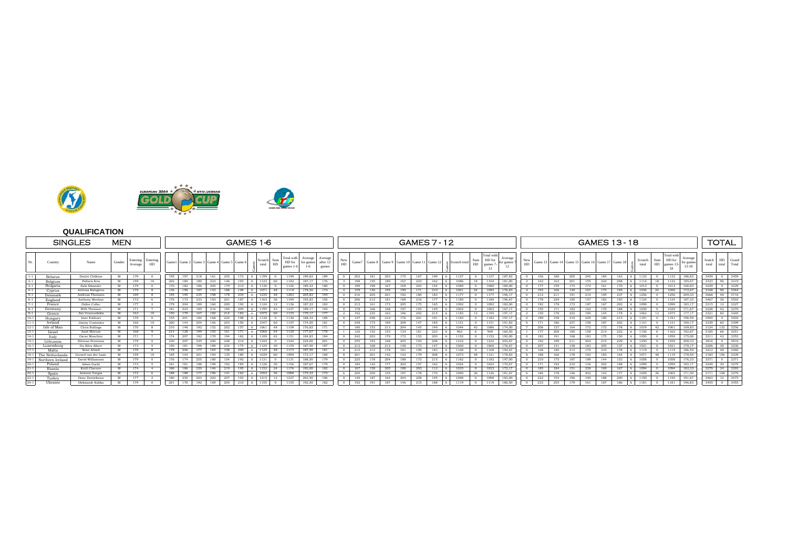





|                             | <b>SINGLES</b>      | <b>MEN</b> |                     |                |     |     |     |     |                                           |     | GAMES 1-6        |                  |                                   |                               |                             |           |      |      |     |     |     | <b>GAMES 7 - 12</b>                          |                 |            |                               |                     |     |     |     |     | <b>GAMES 13-18</b>                              |      |     |                  |           |                                              |                                 |                 | <b>TOTAL</b>            |
|-----------------------------|---------------------|------------|---------------------|----------------|-----|-----|-----|-----|-------------------------------------------|-----|------------------|------------------|-----------------------------------|-------------------------------|-----------------------------|-----------|------|------|-----|-----|-----|----------------------------------------------|-----------------|------------|-------------------------------|---------------------|-----|-----|-----|-----|-------------------------------------------------|------|-----|------------------|-----------|----------------------------------------------|---------------------------------|-----------------|-------------------------|
| Country                     | Name                | Gender     | Entering<br>Average | Entering<br>HD |     |     |     |     | Game 1 Game 2 Game 3 Game 4 Game 5 Game 6 |     | Scratch<br>total | Sum<br>HD.       | Total with<br>HD for<br>games 1-6 | Average<br>for games<br>$1-6$ | Averag<br>after 12<br>games | New<br>HD |      |      |     |     |     | Game 7 Game 8 Game 9 Game 10 Game 11 Game 12 | K Scratch total | Sum<br>HD. | Total wit<br>HD for<br>games? | Average<br>or games | HD. |     |     |     | Game 13 Game 14 Game 15 Game 16 Game 17 Game 18 |      |     | Scratch<br>total | Sum<br>HD | <b>Fotal</b> wit<br>HD for<br>games 13<br>18 | Average<br>for games<br>$13-18$ | Sratch<br>total | HD Grand<br>total Total |
| Belarus                     | Dmitri Chilkine     | M          | 179                 |                | 195 | 197 | 218 | 161 | 255                                       | 173 | 1199<br>-61      |                  | 1199                              | 199.83                        | 189                         |           | 202  | 181  | 203 | 175 | 167 | 199                                          | 1127            |            | 1127                          | 187.83              |     | 156 | 180 | 205 | 245                                             | 184  | 163 | 1133             |           | 1133                                         | 188.83                          | 3459            | 3459<br>$\circ$         |
| Belgium                     | Pollaris Kris       | M          | 159                 |                | 202 | 180 | 180 | 222 | 146                                       | 193 | -6               | 60               | 1183                              | 187.17                        | 176                         |           | 198  |      | 180 |     | 224 | 162                                          |                 |            | 1104                          | 181.00              |     | 163 | 163 | 201 | 155                                             | 224  | 208 | 1114             |           | 1132                                         | 185.67                          |                 | 3323 96 3419            |
| Bulgaria                    | Zabi Sikander       | M          | 179                 |                | 170 | 182 | 186 | 205 | 179                                       | 214 | -61<br>1136      | $\Omega$         | 1136                              | 189.33                        | 180                         |           | 189  | 198  | 167 | 169 | 203 | 154                                          | 1080            |            | 1080                          | 180.00              |     | 177 | 159 |     | 172                                             | 161  | 170 | 1013             |           | 1013                                         | 168.83                          | 3229            | 3229<br>$\overline{0}$  |
| Cyprus                      | Antreas Kalogirot   | M          | 170                 |                | 136 | 199 | 197 | 153 | 188                                       | 198 | 6<br>1071        | 48               | 1119                              | 178,50                        | 174                         |           | 159  |      | 195 | 190 | 171 | 210                                          | 1061            | 24         | 1085                          | 176.83              |     | 193 | 166 | 140 | 167                                             |      | 195 | 1036             | 24        | 1060                                         | 172.67                          |                 | 3168 96 3264            |
| Denmark                     | Andreas Thomser     | M          | 169                 |                | 195 | 195 | 235 | 198 | 178                                       | 234 | -6<br>1235       | 48               | 1283                              | 205,83                        | 194                         |           | 216  | 205  | 201 | 192 | 180 | 183                                          | 1177            |            |                               | 196.17              |     | 212 |     | 191 | 210                                             |      | 237 | 1256             |           | 1256                                         | 209.33                          |                 | 3668 48 3716            |
| England                     | Anthony Meehar      | M          | 172                 |                |     |     | 233 |     | 201                                       | 187 | -61              | 36               | 1199                              | 193,83                        | 192                         |           | 206  |      | 181 | 188 |     |                                              | 180             |            | 1180                          | 196.67              |     | 178 | 229 | 185 | 157                                             |      | 193 | 1124             |           | 1124                                         | 187.33                          |                 | 3467 36 3503            |
| France                      | Didier Collec       | M          | 177                 |                | 179 | 204 | 189 | 160 | 200                                       | 192 | - 6 H<br>1124    | 12               | 1136                              | 187.33                        | 183                         |           | 213  | 161  | 173 | 205 | 175 | 165                                          | 1092            |            | 1092                          | 182,00              |     | 192 | 178 | 173 | 187                                             | 167  | 202 | 1099             |           | 1099                                         | 183.17                          |                 | 3315 12 3327            |
| Germany                     | Willi Theissen      | M          | 171                 |                | 181 | 223 | 185 | 216 | 185                                       | 205 | 1195<br>-61      | -42              | 1237                              | 199,17                        | 192                         |           | 178  | 166  | 168 |     | 145 |                                              | 1003            |            | 1003                          | 167.17              |     | 155 |     | 183 | 163                                             |      | 188 | 1030             |           | 1030                                         | 171.67                          |                 | 3270<br>3228 42         |
| Greece                      | Jim Vouvoudaki      | M          | 163                 |                | 150 | 179 | 167 | 187 | 214                                       | 183 | -6               | 60               | 1135                              | 179,17                        | 177                         |           | 192  | 225  |     |     | 202 |                                              |                 |            |                               | 197,17              |     | 150 | 178 | 222 | 190                                             |      | 178 | 1063             |           | 1075                                         | 177,17                          |                 | 3321 84 3405            |
| $10-1$<br>Hungary           | Imre Foldvari       | M          | 179                 |                | 155 | 201 | 184 | 168 | 224                                       | 198 | -61<br>1130      | $\Omega$         | 1130                              | 188.33                        | 189                         |           | 147  | 258  | 210 | 176 | 201 | 191                                          | 1183            |            | 1183                          | 197.17              |     | 189 | 158 | 210 | 229                                             | 190. | 215 | 1191             |           | 1191                                         | 198.50                          | 3504            | 3504<br>$\circ$         |
| Ireland<br>$11 - 1$         | Jimmy Cummins       | M          | 160                 |                | 200 | 144 | 204 | 146 | 203                                       | 150 | -6 -1<br>1047    | $-60 +$          | 1107                              | 174.50                        | 181                         |           | 248  |      | 189 | 209 | 147 | 185                                          | 1151            |            | 1151                          | 191.83              |     | 171 | 186 | 237 | 158                                             | 187  | 202 | 1141             |           | 1141                                         | 190.17                          |                 | 3339 60 3399            |
| $12-1$<br>Isle of Man       | Chris Rollings      | M          | 170                 |                | 210 | 148 | 192 | 152 | 202                                       | 157 |                  | 48               | 1109                              | 176.83                        |                             |           | 180  |      | 213 | 204 | 145 | 149                                          | 1044            |            | 1086                          | 174.00              |     | 206 |     | 164 |                                                 |      | 178 | 1019             | 42        | 1061                                         | 169.83                          |                 | 3124 132 3256           |
| $13-1$<br>Israel            | Amit Shtrum         | M          | 168                 |                | 214 | 128 | 199 | 193 | 161                                       |     | -61<br>1066      | 54               | 1120                              | 177,67                        | 178                         |           | 120  | 152  | 153 | 134 | 181 | 223                                          | 963             |            | 969                           | 160.50              |     | 177 | 200 | 185 | 158                                             |      | 222 | 1156             |           | 1162                                         | 192.67                          |                 | 3185 66 3251            |
| $14-1$<br>Italy             | Oscar Moschini      | M          | 171                 |                | 174 | 207 | 182 | 170 | 194                                       | 182 | 6 I<br>1109      | -42              | 1151                              | 184.83                        | 184                         |           | 242  | 203  | 179 | 172 | 153 | 203                                          | 1152            |            | 1152                          | 192.00              |     | 183 | 191 | 168 | 183                                             | 175  | 150 | 1050             |           | 1050                                         | 175.00                          |                 | 3311 42 3353            |
| Lithuania                   | Zilvinas Perminas   | M          | 179                 |                | 230 | 207 | 245 | 200 | 248                                       | 214 | -61<br>1344      |                  | 1344                              | 224,00                        | 201                         |           | 255  |      |     | 205 | 193 | 208                                          | 1222            |            | 1222                          | 203.67              |     | 192 | 199 |     | 204                                             |      | 229 | 1250             |           | 1250                                         | 208.33                          | 3816            | 3816<br>$\circ$         |
| Luxemburg                   | Da Silva Albert     | M          | 173                 |                | 150 | 181 | 196 | 189 | 234                                       |     |                  |                  | 1155                              | 187,50                        | 187                         |           |      |      |     |     |     |                                              |                 |            | 1060                          | 176,67              |     | 207 |     | 148 | 183                                             |      |     | 1021             |           | 1021                                         | 170,17                          | 3206            | 30 <sup>7</sup><br>3236 |
| Malta                       | Sean Attard         | M          | 170                 |                | 179 | 246 | 177 | 165 | 158                                       | 200 | 6 1125 48        |                  | 1173                              | 187,50                        | 181                         |           | -215 | 212. |     |     |     | 183                                          | 168             |            | 1168                          | 194.67              |     | 168 | 180 |     | 170                                             |      |     | 1119             |           | 1119                                         | 186.50                          |                 | 3412 48 3460            |
| $18 - 1$<br>The Netherland: | Gerard van der Laan | M          | 159                 |                | 185 | 144 | 201 | 194 | 135                                       | 180 | -6 -1<br>1039    | 60               | 1099                              | 173.17                        | 169                         |           |      |      | 142 | 142 | 179 | 208                                          | 1073            | 48         | 1121                          | 178.83              |     | 188 | 166 | 178 | 192                                             | 183  | 164 | 1071             | 48        | 1119                                         | 178.50                          |                 | 3183 156 3339           |
| $19-1$<br>Northern Irelan   | David Williamson    | M          | 179                 |                | 176 | 174 | 255 | 180 | 154                                       | 192 |                  |                  | 1131                              | 188.50                        | 179                         |           |      |      | 204 |     |     |                                              | 182             |            | 1182                          | 197.00              |     | 210 |     | 18' | 189                                             |      | 153 | 1058             |           | 1058                                         | 176.33                          | 3371            | 3371<br>$^{\circ}$      |
| $20-1$<br>Poland            | Adam Gacki          | M          | 173                 |                | 181 | 181 | 188 | 199 | 192                                       | 185 | 6<br>1126        | 30               | 1156                              | 187,67                        | 179                         |           | 184  | 142  | 177 | 202 | 157 | 162                                          |                 |            | 1024                          | 170.67              |     | 171 | 192 | 210 | 136                                             | 202  | 188 | 1099             |           | 1099                                         | 183.17                          |                 | 3249 30 3279            |
| $21 - 1$<br>Russia          | Kirill Chernov      | M          | 174                 |                | 186 | 186 | 220 | 146 | 219                                       | 195 | 1152 24<br>6 I   |                  | 1176                              | 192.00                        | 182                         |           | 167  | 158  | 205 | 188 | 203 | 112                                          | 1033            |            | 1033                          | 172.17              |     | 185 | 184 | 151 | 238                                             | 169  | 167 | 1094             |           | 1094                                         | 182.33                          |                 | 3279 24 3303            |
| $22 - 1$<br>Spain           | Antonio Vargas      | M          | 172                 |                | 188 | 188 |     | 196 | 141                                       | 162 | -61              | - 36             | 1088                              | 175,33                        | 172                         |           | 200  | 200  | 155 |     |     |                                              | 1090            |            | 1126                          | 181.67              |     | 184 | 178 | 146 | 202                                             |      |     | 1029             |           | 1065                                         | 171.50                          |                 | 3171 108 3279           |
| $23 - 1$<br>Turkey          | Onur Demirkırar     | M          | 177                 |                | 180 | 230 | 203 | 202 | 207                                       | 193 | -6 1<br>1215     | 12               | 1227                              | 202.50                        | 196                         |           | 140  | 187  |     |     | 208 |                                              |                 |            | 1098                          | 183.00              |     | 222 | 154 | 196 | 190                                             |      | 200 | 1150             |           | 1150                                         | 191.67                          |                 | 3463 12 3475            |
| $24-1$<br>Ukraine           | Oleksandr Kalika    | M          | 179                 |                | 201 | 178 | 192 | 169 | 205                                       | 210 | 1155<br>-61      | $\overline{1}$ 0 | 1155                              | 192.50                        | 182                         |           | 192  | 191  | 187 | 146 | 215 | 188                                          | 1119            |            | 1119                          | 186.50              |     | 233 | 255 | 179 | 161                                             | 167  | 186 | 1181             |           | 1181                                         | 196.83                          | 3455            | 0 3455                  |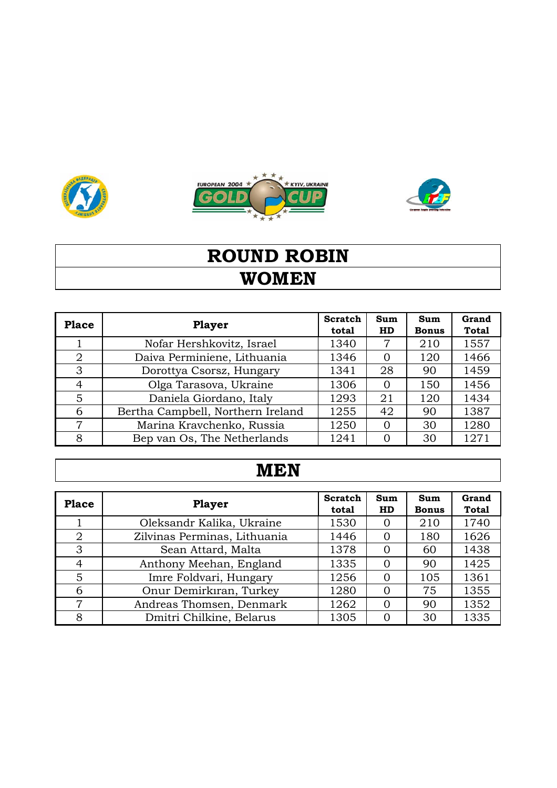





# **WOMEN ROUND ROBIN**

| <b>Place</b> | <b>Player</b>                     | <b>Scratch</b><br>total | Sum<br>HD | Sum<br><b>Bonus</b> | Grand<br><b>Total</b> |
|--------------|-----------------------------------|-------------------------|-----------|---------------------|-----------------------|
|              | Nofar Hershkovitz, Israel         | 1340                    | 7         | 210                 | 1557                  |
| 2            | Daiva Perminiene, Lithuania       | 1346                    | $\Omega$  | 120                 | 1466                  |
| 3            | Dorottya Csorsz, Hungary          | 1341                    | 28        | 90                  | 1459                  |
| 4            | Olga Tarasova, Ukraine            | 1306                    | $\Omega$  | 150                 | 1456                  |
| 5            | Daniela Giordano, Italy           | 1293                    | 21        | 120                 | 1434                  |
| 6            | Bertha Campbell, Northern Ireland | 1255                    | 42        | 90                  | 1387                  |
| 7            | Marina Kravchenko, Russia         | 1250                    | 0         | 30                  | 1280                  |
| 8            | Bep van Os, The Netherlands       | 1241                    | 0         | 30                  | 1271                  |

# **MEN**

| <b>Place</b> | <b>Player</b>                | <b>Scratch</b><br>total | Sum<br><b>HD</b> | Sum<br><b>Bonus</b> | Grand<br><b>Total</b> |
|--------------|------------------------------|-------------------------|------------------|---------------------|-----------------------|
|              | Oleksandr Kalika, Ukraine    | 1530                    | $\Omega$         | 210                 | 1740                  |
| 2            | Zilvinas Perminas, Lithuania | 1446                    | $\Omega$         | 180                 | 1626                  |
| 3            | Sean Attard, Malta           | 1378                    | $\Omega$         | 60                  | 1438                  |
| 4            | Anthony Meehan, England      | 1335                    | 0                | 90                  | 1425                  |
| 5            | Imre Foldvari, Hungary       | 1256                    | $\Omega$         | 105                 | 1361                  |
| 6            | Onur Demirkıran, Turkey      | 1280                    | $\Omega$         | 75                  | 1355                  |
| 7            | Andreas Thomsen, Denmark     | 1262                    | 0                | 90                  | 1352                  |
| 8            | Dmitri Chilkine, Belarus     | 1305                    | ∩                | 30                  | 1335                  |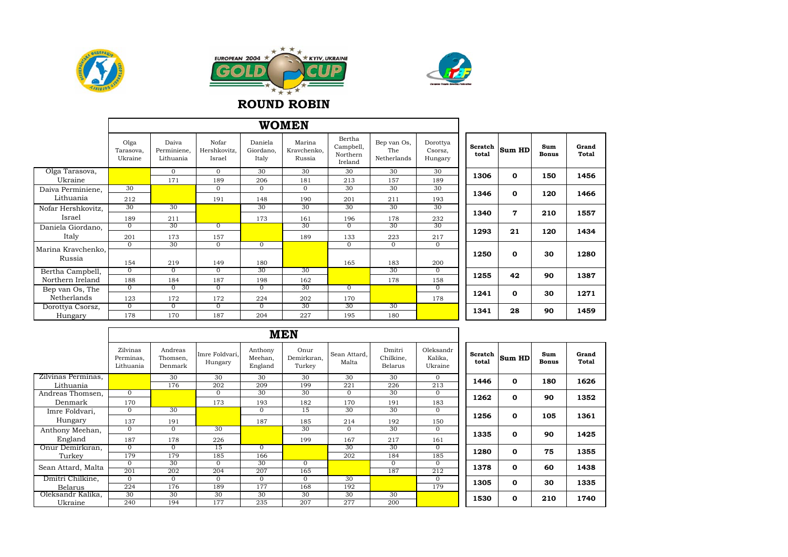





#### **ROUND ROBIN**

|                    |                              |                                   |                                 |                               | <b>WOMEN</b>                    |                                            |                                   |                                |                  |              |                     |                |
|--------------------|------------------------------|-----------------------------------|---------------------------------|-------------------------------|---------------------------------|--------------------------------------------|-----------------------------------|--------------------------------|------------------|--------------|---------------------|----------------|
|                    | Olga<br>Tarasova,<br>Ukraine | Daiva<br>Perminiene,<br>Lithuania | Nofar<br>Hershkovitz,<br>Israel | Daniela<br>Giordano,<br>Italy | Marina<br>Kravchenko,<br>Russia | Bertha<br>Campbell,<br>Northern<br>Ireland | Bep van Os,<br>The<br>Netherlands | Dorottya<br>Csorsz,<br>Hungary | Scratch<br>total | Sum HD       | Sum<br><b>Bonus</b> | Grand<br>Total |
| Olga Tarasova,     |                              | $\Omega$                          | $\mathbf{0}$                    | 30                            | 30                              | 30                                         | 30                                | 30                             | 1306             | $\mathbf 0$  | 150                 | 1456           |
| Ukraine            |                              | 171                               | 189                             | 206                           | 181                             | 213                                        | 157                               | 189                            |                  |              |                     |                |
| Daiva Perminiene,  | 30                           |                                   | $\mathbf{0}$                    | $\mathbf{0}$                  | $\overline{0}$                  | 30                                         | 30                                | 30                             | 1346             | $\mathbf{o}$ | 120                 | 1466           |
| Lithuania          | 212                          |                                   | 191                             | 148                           | 190                             | 201                                        | 211                               | 193                            |                  |              |                     |                |
| Nofar Hershkovitz, | 30                           | 30                                |                                 | 30                            | 30                              | 30                                         | 30                                | 30                             |                  |              |                     |                |
| Israel             | 189                          | 211                               |                                 | 173                           | 161                             | 196                                        | 178                               | 232                            | 1340             | $\mathbf{7}$ | 210                 | 1557           |
| Daniela Giordano,  | $\Omega$                     | 30                                | $\Omega$                        |                               | 30                              | $\Omega$                                   | 30                                | 30                             |                  |              |                     |                |
| Italy              | 201                          | 173                               | 157                             |                               | 189                             | 133                                        | 223                               | 217                            | 1293             | 21           | 120                 | 1434           |
| Marina Kravchenko, | $\overline{0}$               | 30                                | $\overline{0}$                  | $\overline{0}$                |                                 | $\sigma$                                   | $\overline{0}$                    | $\overline{0}$                 |                  |              |                     |                |
|                    |                              |                                   |                                 |                               |                                 |                                            |                                   |                                | 1250             | $\mathbf 0$  | 30                  | 1280           |
| Russia             | 154                          | 219                               | 149                             | 180                           |                                 | 165                                        | 183                               | 200                            |                  |              |                     |                |
| Bertha Campbell,   | $\overline{0}$               | $\Omega$                          | $\overline{0}$                  | 30                            | 30                              |                                            | 30                                | $\overline{0}$                 | 1255             | 42           | 90                  | 1387           |
| Northern Ireland   | 188                          | 184                               | 187                             | 198                           | 162                             |                                            | 178                               | 158                            |                  |              |                     |                |
| Bep van Os, The    | $\overline{0}$               | $\overline{0}$                    | $\overline{0}$                  | $\overline{0}$                | 30                              | $\overline{0}$                             |                                   | $\overline{0}$                 |                  |              |                     |                |
| Netherlands        | 123                          | 172                               | 172                             | 224                           | 202                             | 170                                        |                                   | 178                            | 1241             | $\mathbf 0$  | 30                  | 1271           |
| Dorottya Csorsz,   | $^{\circ}$                   | $\Omega$                          | $\Omega$                        | $^{\circ}$                    | 30                              | 30                                         | 30                                |                                | 1341             | 28           | 90                  | 1459           |
| Hungary            | 178                          | 170                               | 187                             | 204                           | 227                             | 195                                        | 180                               |                                |                  |              |                     |                |

|                    |                                    |                                |                           |                               | <b>MEN</b>                    |                       |                                |                                 |                  |              |                     |                |
|--------------------|------------------------------------|--------------------------------|---------------------------|-------------------------------|-------------------------------|-----------------------|--------------------------------|---------------------------------|------------------|--------------|---------------------|----------------|
|                    | Zilvinas<br>Perminas,<br>Lithuania | Andreas<br>Thomsen,<br>Denmark | Imre Foldvari.<br>Hungary | Anthony<br>Meehan,<br>England | Onur<br>Demirkıran.<br>Turkey | Sean Attard,<br>Malta | Dmitri<br>Chilkine,<br>Belarus | Oleksandr<br>Kalika,<br>Ukraine | Scratch<br>total | Sum HD       | Sum<br><b>Bonus</b> | Grand<br>Total |
| Zilvinas Perminas. |                                    | 30                             | 30                        | 30                            | 30                            | 30                    | 30                             | $\mathbf{0}$                    | 1446             | $\mathbf{o}$ | 180                 | 1626           |
| Lithuania          |                                    | 176                            | 202                       | 209                           | 199                           | 221                   | 226                            | 213                             |                  |              |                     |                |
| Andreas Thomsen,   | $\Omega$                           |                                | $\mathbf{0}$              | 30                            | 30                            | $\mathbf{0}$          | 30                             | $\overline{0}$                  | 1262             | $\mathbf 0$  | 90                  | 1352           |
| Denmark            | 170                                |                                | 173                       | 193                           | 182                           | 170                   | 191                            | 183                             |                  |              |                     |                |
| Imre Foldvari,     | $\Omega$                           | 30                             |                           | $\Omega$                      | 15                            | 30                    | 30                             | $\mathbf{0}$                    |                  |              |                     |                |
| Hungary            | 137                                | 191                            |                           | 187                           | 185                           | 214                   | 192                            | 150                             | 1256             | $\mathbf 0$  | 105                 | 1361           |
| Anthony Meehan,    | $\Omega$                           | $\mathbf{0}$                   | 30                        |                               | 30                            | $\mathbf{0}$          | 30                             | $\mathbf{0}$                    |                  | $\mathbf{o}$ |                     |                |
| England            | 187                                | 178                            | 226                       |                               | 199                           | 167                   | 217                            | 161                             | 1335             |              | 90                  | 1425           |
| Onur Demirkıran,   | $\Omega$                           | $\mathbf{0}$                   | 15                        | 0                             |                               | 30                    | 30                             | $\overline{0}$                  | 1280             | $\mathbf 0$  | 75                  | 1355           |
| Turkey             | 179                                | 179                            | 185                       | 166                           |                               | 202                   | 184                            | 185                             |                  |              |                     |                |
| Sean Attard, Malta | $\Omega$                           | 30                             | $\Omega$                  | 30                            | $\Omega$                      |                       | $\Omega$                       | $\Omega$                        | 1378             | $\mathbf{o}$ | 60                  | 1438           |
|                    | 201                                | 202                            | 204                       | 207                           | 165                           |                       | 187                            | 212                             |                  |              |                     |                |
| Dmitri Chilkine,   | $\Omega$                           | $\mathbf{0}$                   | $\mathbf{0}$              | 0                             | $\overline{0}$                | 30                    |                                | $\overline{0}$                  | 1305             | $\mathbf 0$  | 30                  | 1335           |
| <b>Belarus</b>     | 224                                | 176                            | 189                       | 177                           | 168                           | 192                   |                                | 179                             |                  |              |                     |                |
| Oleksandr Kalika,  | 30 <sup>2</sup>                    | 30                             | 30                        | 30                            | 30 <sup>2</sup>               | 30                    | 30                             |                                 | 1530             | $\mathbf{o}$ | 210                 | 1740           |
| Ukraine            | 240                                | 194                            | 177                       | 235                           | 207                           | 277                   | 200                            |                                 |                  |              |                     |                |